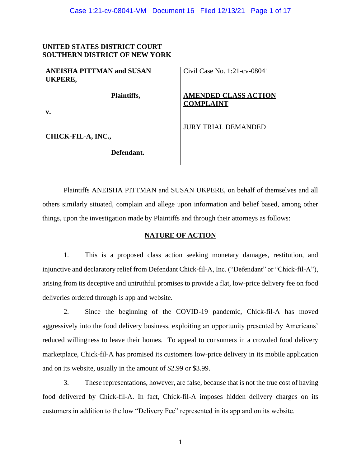## **UNITED STATES DISTRICT COURT SOUTHERN DISTRICT OF NEW YORK**

| <b>ANEISHA PITTMAN and SUSAN</b> |  |
|----------------------------------|--|
| UKPERE,                          |  |

Civil Case No. 1:21-cv-08041

# **AMENDED CLASS ACTION COMPLAINT**

JURY TRIAL DEMANDED

**v.**

**CHICK-FIL-A, INC.,**

 **Defendant.**

 **Plaintiffs,**

Plaintiffs ANEISHA PITTMAN and SUSAN UKPERE, on behalf of themselves and all others similarly situated, complain and allege upon information and belief based, among other things, upon the investigation made by Plaintiffs and through their attorneys as follows:

## **NATURE OF ACTION**

1. This is a proposed class action seeking monetary damages, restitution, and injunctive and declaratory relief from Defendant Chick-fil-A, Inc. ("Defendant" or "Chick-fil-A"), arising from its deceptive and untruthful promises to provide a flat, low-price delivery fee on food deliveries ordered through is app and website.

2. Since the beginning of the COVID-19 pandemic, Chick-fil-A has moved aggressively into the food delivery business, exploiting an opportunity presented by Americans' reduced willingness to leave their homes. To appeal to consumers in a crowded food delivery marketplace, Chick-fil-A has promised its customers low-price delivery in its mobile application and on its website, usually in the amount of \$2.99 or \$3.99.

3. These representations, however, are false, because that is not the true cost of having food delivered by Chick-fil-A. In fact, Chick-fil-A imposes hidden delivery charges on its customers in addition to the low "Delivery Fee" represented in its app and on its website.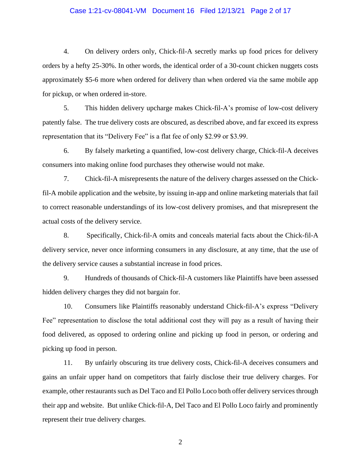#### Case 1:21-cv-08041-VM Document 16 Filed 12/13/21 Page 2 of 17

4. On delivery orders only, Chick-fil-A secretly marks up food prices for delivery orders by a hefty 25-30%. In other words, the identical order of a 30-count chicken nuggets costs approximately \$5-6 more when ordered for delivery than when ordered via the same mobile app for pickup, or when ordered in-store.

5. This hidden delivery upcharge makes Chick-fil-A's promise of low-cost delivery patently false. The true delivery costs are obscured, as described above, and far exceed its express representation that its "Delivery Fee" is a flat fee of only \$2.99 or \$3.99.

6. By falsely marketing a quantified, low-cost delivery charge, Chick-fil-A deceives consumers into making online food purchases they otherwise would not make.

7. Chick-fil-A misrepresents the nature of the delivery charges assessed on the Chickfil-A mobile application and the website, by issuing in-app and online marketing materials that fail to correct reasonable understandings of its low-cost delivery promises, and that misrepresent the actual costs of the delivery service.

8. Specifically, Chick-fil-A omits and conceals material facts about the Chick-fil-A delivery service, never once informing consumers in any disclosure, at any time, that the use of the delivery service causes a substantial increase in food prices.

9. Hundreds of thousands of Chick-fil-A customers like Plaintiffs have been assessed hidden delivery charges they did not bargain for.

10. Consumers like Plaintiffs reasonably understand Chick-fil-A's express "Delivery Fee" representation to disclose the total additional cost they will pay as a result of having their food delivered, as opposed to ordering online and picking up food in person, or ordering and picking up food in person.

11. By unfairly obscuring its true delivery costs, Chick-fil-A deceives consumers and gains an unfair upper hand on competitors that fairly disclose their true delivery charges. For example, other restaurants such as Del Taco and El Pollo Loco both offer delivery services through their app and website. But unlike Chick-fil-A, Del Taco and El Pollo Loco fairly and prominently represent their true delivery charges.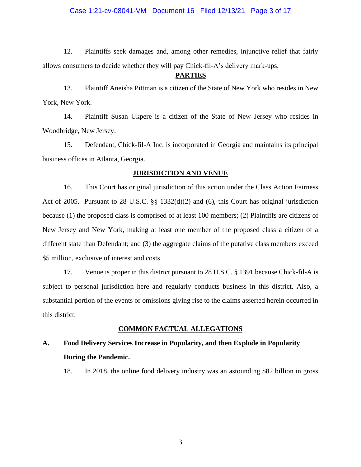#### Case 1:21-cv-08041-VM Document 16 Filed 12/13/21 Page 3 of 17

12. Plaintiffs seek damages and, among other remedies, injunctive relief that fairly allows consumers to decide whether they will pay Chick-fil-A's delivery mark-ups.

#### **PARTIES**

13. Plaintiff Aneisha Pittman is a citizen of the State of New York who resides in New York, New York.

14. Plaintiff Susan Ukpere is a citizen of the State of New Jersey who resides in Woodbridge, New Jersey.

15. Defendant, Chick-fil-A Inc. is incorporated in Georgia and maintains its principal business offices in Atlanta, Georgia.

#### **JURISDICTION AND VENUE**

16. This Court has original jurisdiction of this action under the Class Action Fairness Act of 2005. Pursuant to 28 U.S.C. §§ 1332(d)(2) and (6), this Court has original jurisdiction because (1) the proposed class is comprised of at least 100 members; (2) Plaintiffs are citizens of New Jersey and New York, making at least one member of the proposed class a citizen of a different state than Defendant; and (3) the aggregate claims of the putative class members exceed \$5 million, exclusive of interest and costs.

17. Venue is proper in this district pursuant to 28 U.S.C. § 1391 because Chick-fil-A is subject to personal jurisdiction here and regularly conducts business in this district. Also, a substantial portion of the events or omissions giving rise to the claims asserted herein occurred in this district.

#### **COMMON FACTUAL ALLEGATIONS**

# **A. Food Delivery Services Increase in Popularity, and then Explode in Popularity During the Pandemic.**

18. In 2018, the online food delivery industry was an astounding \$82 billion in gross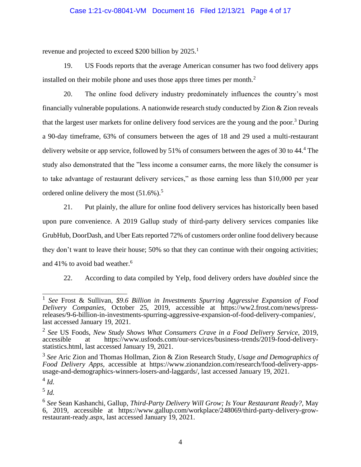### Case 1:21-cv-08041-VM Document 16 Filed 12/13/21 Page 4 of 17

revenue and projected to exceed \$200 billion by 2025.<sup>1</sup>

19. US Foods reports that the average American consumer has two food delivery apps installed on their mobile phone and uses those apps three times per month.<sup>2</sup>

20. The online food delivery industry predominately influences the country's most financially vulnerable populations. A nationwide research study conducted by  $\chi$  zion reveals that the largest user markets for online delivery food services are the young and the poor.<sup>3</sup> During a 90-day timeframe, 63% of consumers between the ages of 18 and 29 used a multi-restaurant delivery website or app service, followed by 51% of consumers between the ages of 30 to 44.<sup>4</sup> The study also demonstrated that the "less income a consumer earns, the more likely the consumer is to take advantage of restaurant delivery services," as those earning less than \$10,000 per year ordered online delivery the most  $(51.6\%)$ .<sup>5</sup>

21. Put plainly, the allure for online food delivery services has historically been based upon pure convenience. A 2019 Gallup study of third-party delivery services companies like GrubHub, DoorDash, and Uber Eats reported 72% of customers order online food delivery because they don't want to leave their house; 50% so that they can continue with their ongoing activities; and 41% to avoid bad weather.<sup>6</sup>

22. According to data compiled by Yelp, food delivery orders have *doubled* since the

4 *Id.*

5 *Id.*

<sup>1</sup> *See* Frost & Sullivan, *\$9.6 Billion in Investments Spurring Aggressive Expansion of Food Delivery Companies,* October 25, 2019, accessible at https://ww2.frost.com/news/pressreleases/9-6-billion-in-investments-spurring-aggressive-expansion-of-food-delivery-companies/, last accessed January 19, 2021.

<sup>2</sup> *See* US Foods, *New Study Shows What Consumers Crave in a Food Delivery Service,* 2019, accessible at https://www.usfoods.com/our-services/business-trends/2019-food-deliverystatistics.html, last accessed January 19, 2021.

<sup>3</sup> *See* Aric Zion and Thomas Hollman, Zion & Zion Research Study, *Usage and Demographics of Food Delivery Apps,* accessible at https://www.zionandzion.com/research/food-delivery-appsusage-and-demographics-winners-losers-and-laggards/, last accessed January 19, 2021.

<sup>6</sup> *See* Sean Kashanchi, Gallup, *Third-Party Delivery Will Grow; Is Your Restaurant Ready?,* May 6, 2019, accessible at https://www.gallup.com/workplace/248069/third-party-delivery-growrestaurant-ready.aspx, last accessed January 19, 2021.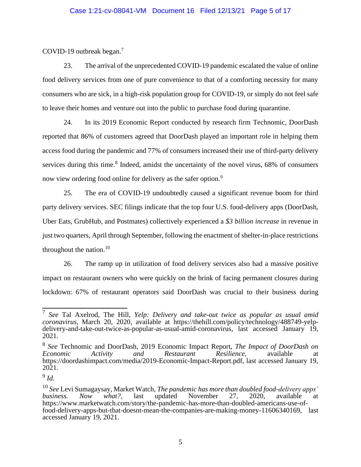#### Case 1:21-cv-08041-VM Document 16 Filed 12/13/21 Page 5 of 17

COVID-19 outbreak began.<sup>7</sup>

23. The arrival of the unprecedented COVID-19 pandemic escalated the value of online food delivery services from one of pure convenience to that of a comforting necessity for many consumers who are sick, in a high-risk population group for COVID-19, or simply do not feel safe to leave their homes and venture out into the public to purchase food during quarantine.

24. In its 2019 Economic Report conducted by research firm Technomic, DoorDash reported that 86% of customers agreed that DoorDash played an important role in helping them access food during the pandemic and 77% of consumers increased their use of third-party delivery services during this time.<sup>8</sup> Indeed, amidst the uncertainty of the novel virus, 68% of consumers now view ordering food online for delivery as the safer option.<sup>9</sup>

25. The era of COVID-19 undoubtedly caused a significant revenue boom for third party delivery services. SEC filings indicate that the top four U.S. food-delivery apps (DoorDash, Uber Eats, GrubHub, and Postmates) collectively experienced a *\$3 billion increase* in revenue in just two quarters, April through September, following the enactment of shelter-in-place restrictions throughout the nation. $10$ 

26. The ramp up in utilization of food delivery services also had a massive positive impact on restaurant owners who were quickly on the brink of facing permanent closures during lockdown: 67% of restaurant operators said DoorDash was crucial to their business during

<sup>7</sup> *See* Tal Axelrod, The Hill, *Yelp: Delivery and take-out twice as popular as usual amid coronavirus,* March 20, 2020, available at https://thehill.com/policy/technology/488749-yelpdelivery-and-take-out-twice-as-popular-as-usual-amid-coronavirus, last accessed January 19, 2021.

<sup>8</sup> *See* Technomic and DoorDash, 2019 Economic Impact Report, *The Impact of DoorDash on Economic Activity and Restaurant Resilience,* available at https://doordashimpact.com/media/2019-Economic-Impact-Report.pdf, last accessed January 19, 2021.

<sup>9</sup> *Id.*

<sup>&</sup>lt;sup>10</sup> See Levi Sumagaysay, Market Watch, *The pandemic has more than doubled food-delivery apps' business.* Now what?, last updated November 27, 2020, available at *business. Now what?,* last updated November 27, 2020, available at https://www.marketwatch.com/story/the-pandemic-has-more-than-doubled-americans-use-offood-delivery-apps-but-that-doesnt-mean-the-companies-are-making-money-11606340169, last accessed January 19, 2021.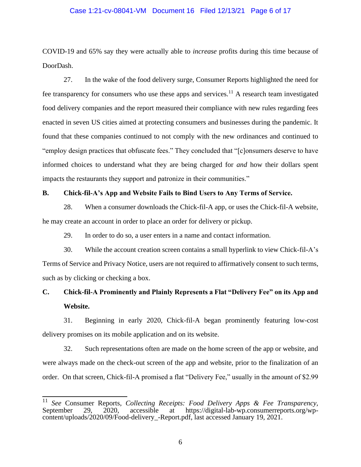#### Case 1:21-cv-08041-VM Document 16 Filed 12/13/21 Page 6 of 17

COVID-19 and 65% say they were actually able to *increase* profits during this time because of DoorDash.

27. In the wake of the food delivery surge, Consumer Reports highlighted the need for fee transparency for consumers who use these apps and services.<sup>11</sup> A research team investigated food delivery companies and the report measured their compliance with new rules regarding fees enacted in seven US cities aimed at protecting consumers and businesses during the pandemic. It found that these companies continued to not comply with the new ordinances and continued to "employ design practices that obfuscate fees." They concluded that "[c]onsumers deserve to have informed choices to understand what they are being charged for *and* how their dollars spent impacts the restaurants they support and patronize in their communities."

#### **B. Chick-fil-A's App and Website Fails to Bind Users to Any Terms of Service.**

28. When a consumer downloads the Chick-fil-A app, or uses the Chick-fil-A website, he may create an account in order to place an order for delivery or pickup.

29. In order to do so, a user enters in a name and contact information.

30. While the account creation screen contains a small hyperlink to view Chick-fil-A's Terms of Service and Privacy Notice, users are not required to affirmatively consent to such terms, such as by clicking or checking a box.

# **C. Chick-fil-A Prominently and Plainly Represents a Flat "Delivery Fee" on its App and Website.**

31. Beginning in early 2020, Chick-fil-A began prominently featuring low-cost delivery promises on its mobile application and on its website.

32. Such representations often are made on the home screen of the app or website, and were always made on the check-out screen of the app and website, prior to the finalization of an order. On that screen, Chick-fil-A promised a flat "Delivery Fee," usually in the amount of \$2.99

<sup>&</sup>lt;sup>11</sup> *See* Consumer Reports, *Collecting Receipts: Food Delivery Apps & Fee Transparency,* September 29. 2020. accessible at https://digital-lab-wp.consumerreports.org/wp-September 29, 2020, accessible at https://digital-lab-wp.consumerreports.org/wpcontent/uploads/2020/09/Food-delivery\_-Report.pdf, last accessed January 19, 2021.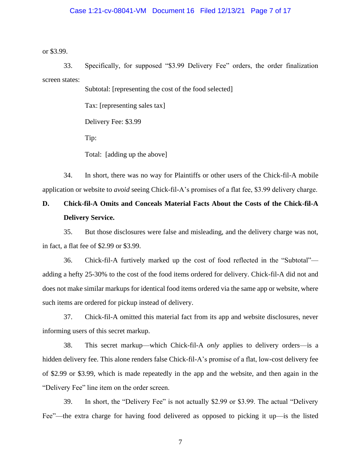#### Case 1:21-cv-08041-VM Document 16 Filed 12/13/21 Page 7 of 17

or \$3.99.

33. Specifically, for supposed "\$3.99 Delivery Fee" orders, the order finalization screen states:

Subtotal: [representing the cost of the food selected]

Tax: [representing sales tax]

Delivery Fee: \$3.99

Tip:

Total: [adding up the above]

34. In short, there was no way for Plaintiffs or other users of the Chick-fil-A mobile application or website to *avoid* seeing Chick-fil-A's promises of a flat fee, \$3.99 delivery charge.

# **D. Chick-fil-A Omits and Conceals Material Facts About the Costs of the Chick-fil-A Delivery Service.**

35. But those disclosures were false and misleading, and the delivery charge was not, in fact, a flat fee of \$2.99 or \$3.99.

36. Chick-fil-A furtively marked up the cost of food reflected in the "Subtotal" adding a hefty 25-30% to the cost of the food items ordered for delivery. Chick-fil-A did not and does not make similar markups for identical food items ordered via the same app or website, where such items are ordered for pickup instead of delivery.

37. Chick-fil-A omitted this material fact from its app and website disclosures, never informing users of this secret markup.

38. This secret markup—which Chick-fil-A *only* applies to delivery orders—is a hidden delivery fee. This alone renders false Chick-fil-A's promise of a flat, low-cost delivery fee of \$2.99 or \$3.99, which is made repeatedly in the app and the website, and then again in the "Delivery Fee" line item on the order screen.

39. In short, the "Delivery Fee" is not actually \$2.99 or \$3.99. The actual "Delivery Fee"—the extra charge for having food delivered as opposed to picking it up—is the listed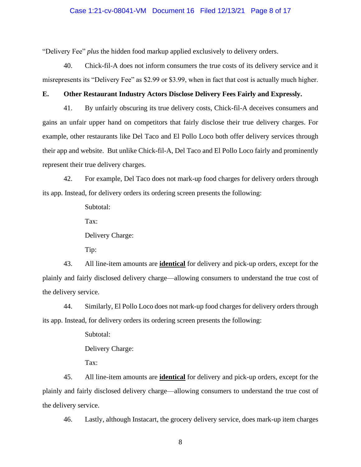#### Case 1:21-cv-08041-VM Document 16 Filed 12/13/21 Page 8 of 17

"Delivery Fee" *plus* the hidden food markup applied exclusively to delivery orders.

40. Chick-fil-A does not inform consumers the true costs of its delivery service and it misrepresents its "Delivery Fee" as \$2.99 or \$3.99, when in fact that cost is actually much higher.

### **E. Other Restaurant Industry Actors Disclose Delivery Fees Fairly and Expressly.**

41. By unfairly obscuring its true delivery costs, Chick-fil-A deceives consumers and gains an unfair upper hand on competitors that fairly disclose their true delivery charges. For example, other restaurants like Del Taco and El Pollo Loco both offer delivery services through their app and website. But unlike Chick-fil-A, Del Taco and El Pollo Loco fairly and prominently represent their true delivery charges.

42. For example, Del Taco does not mark-up food charges for delivery orders through its app. Instead, for delivery orders its ordering screen presents the following:

Subtotal:

Tax:

Delivery Charge:

Tip:

43. All line-item amounts are **identical** for delivery and pick-up orders, except for the plainly and fairly disclosed delivery charge—allowing consumers to understand the true cost of the delivery service.

44. Similarly, El Pollo Loco does not mark-up food charges for delivery orders through its app. Instead, for delivery orders its ordering screen presents the following:

Subtotal:

Delivery Charge:

Tax:

45. All line-item amounts are **identical** for delivery and pick-up orders, except for the plainly and fairly disclosed delivery charge—allowing consumers to understand the true cost of the delivery service.

46. Lastly, although Instacart, the grocery delivery service, does mark-up item charges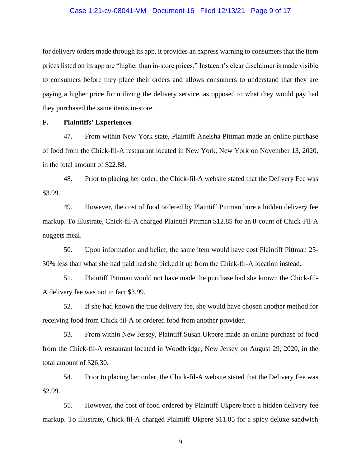#### Case 1:21-cv-08041-VM Document 16 Filed 12/13/21 Page 9 of 17

for delivery orders made through its app, it provides an express warning to consumers that the item prices listed on its app are "higher than in-store prices." Instacart's clear disclaimer is made visible to consumers before they place their orders and allows consumers to understand that they are paying a higher price for utilizing the delivery service, as opposed to what they would pay had they purchased the same items in-store.

#### **F. Plaintiffs' Experiences**

47. From within New York state, Plaintiff Aneisha Pittman made an online purchase of food from the Chick-fil-A restaurant located in New York, New York on November 13, 2020, in the total amount of \$22.88.

48. Prior to placing her order, the Chick-fil-A website stated that the Delivery Fee was \$3.99.

49. However, the cost of food ordered by Plaintiff Pittman bore a hidden delivery fee markup. To illustrate, Chick-fil-A charged Plaintiff Pittman \$12.85 for an 8-count of Chick-Fil-A nuggets meal.

50. Upon information and belief, the same item would have cost Plaintiff Pittman 25- 30% less than what she had paid had she picked it up from the Chick-fil-A location instead.

51. Plaintiff Pittman would not have made the purchase had she known the Chick-fil-A delivery fee was not in fact \$3.99.

52. If she had known the true delivery fee, she would have chosen another method for receiving food from Chick-fil-A or ordered food from another provider.

53. From within New Jersey, Plaintiff Susan Ukpere made an online purchase of food from the Chick-fil-A restaurant located in Woodbridge, New Jersey on August 29, 2020, in the total amount of \$26.30.

54. Prior to placing her order, the Chick-fil-A website stated that the Delivery Fee was \$2.99.

55. However, the cost of food ordered by Plaintiff Ukpere bore a hidden delivery fee markup. To illustrate, Chick-fil-A charged Plaintiff Ukpere \$11.05 for a spicy deluxe sandwich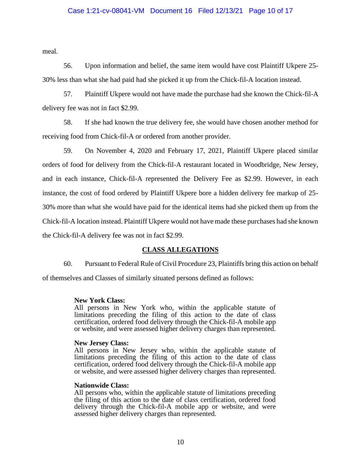#### Case 1:21-cv-08041-VM Document 16 Filed 12/13/21 Page 10 of 17

meal.

56. Upon information and belief, the same item would have cost Plaintiff Ukpere 25- 30% less than what she had paid had she picked it up from the Chick-fil-A location instead.

57. Plaintiff Ukpere would not have made the purchase had she known the Chick-fil-A delivery fee was not in fact \$2.99.

58. If she had known the true delivery fee, she would have chosen another method for receiving food from Chick-fil-A or ordered from another provider.

59. On November 4, 2020 and February 17, 2021, Plaintiff Ukpere placed similar orders of food for delivery from the Chick-fil-A restaurant located in Woodbridge, New Jersey, and in each instance, Chick-fil-A represented the Delivery Fee as \$2.99. However, in each instance, the cost of food ordered by Plaintiff Ukpere bore a hidden delivery fee markup of 25- 30% more than what she would have paid for the identical items had she picked them up from the Chick-fil-A location instead. Plaintiff Ukpere would not have made these purchases had she known the Chick-fil-A delivery fee was not in fact \$2.99.

## **CLASS ALLEGATIONS**

60. Pursuant to Federal Rule of Civil Procedure 23, Plaintiffs bring this action on behalf

of themselves and Classes of similarly situated persons defined as follows:

#### **New York Class:**

All persons in New York who, within the applicable statute of limitations preceding the filing of this action to the date of class certification, ordered food delivery through the Chick-fil-A mobile app or website, and were assessed higher delivery charges than represented.

#### **New Jersey Class:**

All persons in New Jersey who, within the applicable statute of limitations preceding the filing of this action to the date of class certification, ordered food delivery through the Chick-fil-A mobile app or website, and were assessed higher delivery charges than represented.

#### **Nationwide Class:**

All persons who, within the applicable statute of limitations preceding the filing of this action to the date of class certification, ordered food delivery through the Chick-fil-A mobile app or website, and were assessed higher delivery charges than represented.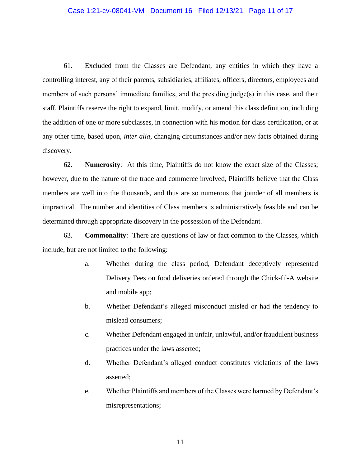#### Case 1:21-cv-08041-VM Document 16 Filed 12/13/21 Page 11 of 17

61. Excluded from the Classes are Defendant, any entities in which they have a controlling interest, any of their parents, subsidiaries, affiliates, officers, directors, employees and members of such persons' immediate families, and the presiding judge(s) in this case, and their staff. Plaintiffs reserve the right to expand, limit, modify, or amend this class definition, including the addition of one or more subclasses, in connection with his motion for class certification, or at any other time, based upon, *inter alia,* changing circumstances and/or new facts obtained during discovery.

62. **Numerosity**: At this time, Plaintiffs do not know the exact size of the Classes; however, due to the nature of the trade and commerce involved, Plaintiffs believe that the Class members are well into the thousands, and thus are so numerous that joinder of all members is impractical. The number and identities of Class members is administratively feasible and can be determined through appropriate discovery in the possession of the Defendant.

63. **Commonality**: There are questions of law or fact common to the Classes, which include, but are not limited to the following:

- a. Whether during the class period, Defendant deceptively represented Delivery Fees on food deliveries ordered through the Chick-fil-A website and mobile app;
- b. Whether Defendant's alleged misconduct misled or had the tendency to mislead consumers;
- c. Whether Defendant engaged in unfair, unlawful, and/or fraudulent business practices under the laws asserted;
- d. Whether Defendant's alleged conduct constitutes violations of the laws asserted;
- e. Whether Plaintiffs and members of the Classes were harmed by Defendant's misrepresentations;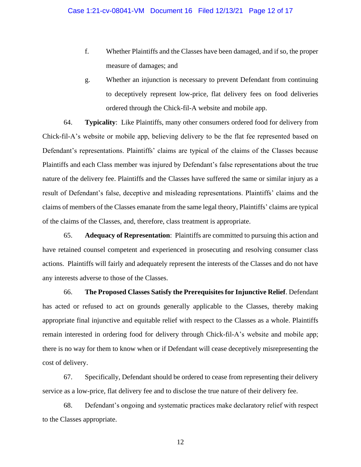- f. Whether Plaintiffs and the Classes have been damaged, and if so, the proper measure of damages; and
- g. Whether an injunction is necessary to prevent Defendant from continuing to deceptively represent low-price, flat delivery fees on food deliveries ordered through the Chick-fil-A website and mobile app.

64. **Typicality**: Like Plaintiffs, many other consumers ordered food for delivery from Chick-fil-A's website or mobile app, believing delivery to be the flat fee represented based on Defendant's representations. Plaintiffs' claims are typical of the claims of the Classes because Plaintiffs and each Class member was injured by Defendant's false representations about the true nature of the delivery fee. Plaintiffs and the Classes have suffered the same or similar injury as a result of Defendant's false, deceptive and misleading representations. Plaintiffs' claims and the claims of members of the Classes emanate from the same legal theory, Plaintiffs' claims are typical of the claims of the Classes, and, therefore, class treatment is appropriate.

65. **Adequacy of Representation**: Plaintiffs are committed to pursuing this action and have retained counsel competent and experienced in prosecuting and resolving consumer class actions. Plaintiffs will fairly and adequately represent the interests of the Classes and do not have any interests adverse to those of the Classes.

66. **The Proposed Classes Satisfy the Prerequisites for Injunctive Relief**. Defendant has acted or refused to act on grounds generally applicable to the Classes, thereby making appropriate final injunctive and equitable relief with respect to the Classes as a whole. Plaintiffs remain interested in ordering food for delivery through Chick-fil-A's website and mobile app; there is no way for them to know when or if Defendant will cease deceptively misrepresenting the cost of delivery.

67. Specifically, Defendant should be ordered to cease from representing their delivery service as a low-price, flat delivery fee and to disclose the true nature of their delivery fee.

68. Defendant's ongoing and systematic practices make declaratory relief with respect to the Classes appropriate.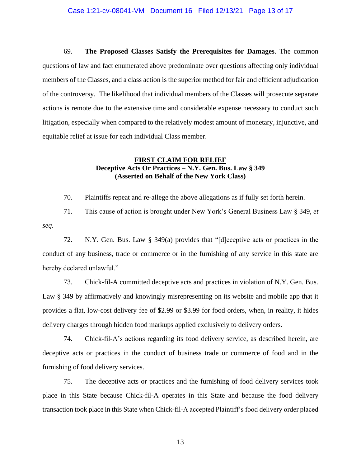#### Case 1:21-cv-08041-VM Document 16 Filed 12/13/21 Page 13 of 17

69. **The Proposed Classes Satisfy the Prerequisites for Damages**. The common questions of law and fact enumerated above predominate over questions affecting only individual members of the Classes, and a class action is the superior method for fair and efficient adjudication of the controversy. The likelihood that individual members of the Classes will prosecute separate actions is remote due to the extensive time and considerable expense necessary to conduct such litigation, especially when compared to the relatively modest amount of monetary, injunctive, and equitable relief at issue for each individual Class member.

## **FIRST CLAIM FOR RELIEF Deceptive Acts Or Practices – N.Y. Gen. Bus. Law § 349 (Asserted on Behalf of the New York Class)**

70. Plaintiffs repeat and re-allege the above allegations as if fully set forth herein.

71. This cause of action is brought under New York's General Business Law § 349, *et seq.*

72. N.Y. Gen. Bus. Law § 349(a) provides that "[d]eceptive acts or practices in the conduct of any business, trade or commerce or in the furnishing of any service in this state are hereby declared unlawful."

73. Chick-fil-A committed deceptive acts and practices in violation of N.Y. Gen. Bus. Law § 349 by affirmatively and knowingly misrepresenting on its website and mobile app that it provides a flat, low-cost delivery fee of \$2.99 or \$3.99 for food orders, when, in reality, it hides delivery charges through hidden food markups applied exclusively to delivery orders.

74. Chick-fil-A's actions regarding its food delivery service, as described herein, are deceptive acts or practices in the conduct of business trade or commerce of food and in the furnishing of food delivery services.

75. The deceptive acts or practices and the furnishing of food delivery services took place in this State because Chick-fil-A operates in this State and because the food delivery transaction took place in this State when Chick-fil-A accepted Plaintiff's food delivery order placed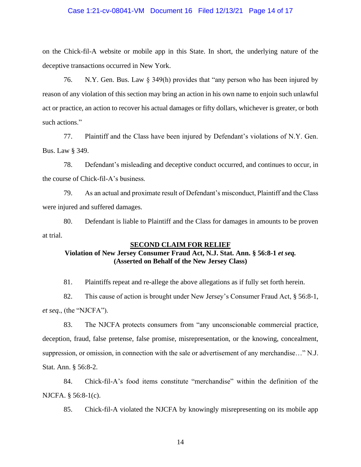#### Case 1:21-cv-08041-VM Document 16 Filed 12/13/21 Page 14 of 17

on the Chick-fil-A website or mobile app in this State. In short, the underlying nature of the deceptive transactions occurred in New York.

76. N.Y. Gen. Bus. Law § 349(h) provides that "any person who has been injured by reason of any violation of this section may bring an action in his own name to enjoin such unlawful act or practice, an action to recover his actual damages or fifty dollars, whichever is greater, or both such actions."

77. Plaintiff and the Class have been injured by Defendant's violations of N.Y. Gen. Bus. Law § 349.

78. Defendant's misleading and deceptive conduct occurred, and continues to occur, in the course of Chick-fil-A's business.

79. As an actual and proximate result of Defendant's misconduct, Plaintiff and the Class were injured and suffered damages.

80. Defendant is liable to Plaintiff and the Class for damages in amounts to be proven at trial.

## **SECOND CLAIM FOR RELIEF Violation of New Jersey Consumer Fraud Act, N.J. Stat. Ann. § 56:8-1** *et seq.* **(Asserted on Behalf of the New Jersey Class)**

81. Plaintiffs repeat and re-allege the above allegations as if fully set forth herein.

82. This cause of action is brought under New Jersey's Consumer Fraud Act, § 56:8-1, *et seq.*, (the "NJCFA").

83. The NJCFA protects consumers from "any unconscionable commercial practice, deception, fraud, false pretense, false promise, misrepresentation, or the knowing, concealment, suppression, or omission, in connection with the sale or advertisement of any merchandise…" N.J. Stat. Ann. § 56:8-2.

84. Chick-fil-A's food items constitute "merchandise" within the definition of the NJCFA. § 56:8-1(c).

85. Chick-fil-A violated the NJCFA by knowingly misrepresenting on its mobile app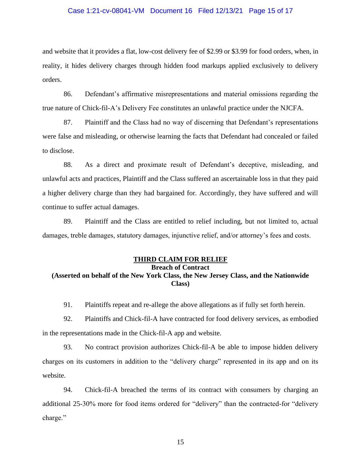#### Case 1:21-cv-08041-VM Document 16 Filed 12/13/21 Page 15 of 17

and website that it provides a flat, low-cost delivery fee of \$2.99 or \$3.99 for food orders, when, in reality, it hides delivery charges through hidden food markups applied exclusively to delivery orders.

86. Defendant's affirmative misrepresentations and material omissions regarding the true nature of Chick-fil-A's Delivery Fee constitutes an unlawful practice under the NJCFA.

87. Plaintiff and the Class had no way of discerning that Defendant's representations were false and misleading, or otherwise learning the facts that Defendant had concealed or failed to disclose.

88. As a direct and proximate result of Defendant's deceptive, misleading, and unlawful acts and practices, Plaintiff and the Class suffered an ascertainable loss in that they paid a higher delivery charge than they had bargained for. Accordingly, they have suffered and will continue to suffer actual damages.

89. Plaintiff and the Class are entitled to relief including, but not limited to, actual damages, treble damages, statutory damages, injunctive relief, and/or attorney's fees and costs.

#### **THIRD CLAIM FOR RELIEF**

## **Breach of Contract (Asserted on behalf of the New York Class, the New Jersey Class, and the Nationwide Class)**

91. Plaintiffs repeat and re-allege the above allegations as if fully set forth herein.

92. Plaintiffs and Chick-fil-A have contracted for food delivery services, as embodied in the representations made in the Chick-fil-A app and website.

93. No contract provision authorizes Chick-fil-A be able to impose hidden delivery charges on its customers in addition to the "delivery charge" represented in its app and on its website.

94. Chick-fil-A breached the terms of its contract with consumers by charging an additional 25-30% more for food items ordered for "delivery" than the contracted-for "delivery charge."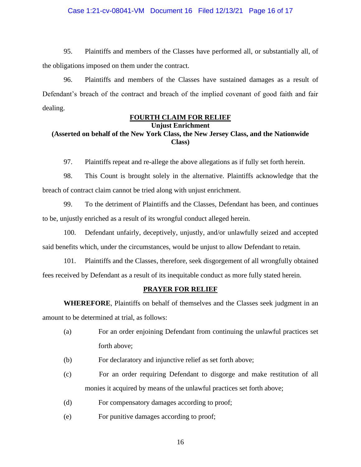#### Case 1:21-cv-08041-VM Document 16 Filed 12/13/21 Page 16 of 17

95. Plaintiffs and members of the Classes have performed all, or substantially all, of the obligations imposed on them under the contract.

96. Plaintiffs and members of the Classes have sustained damages as a result of Defendant's breach of the contract and breach of the implied covenant of good faith and fair dealing.

#### **FOURTH CLAIM FOR RELIEF**

**Unjust Enrichment**

# **(Asserted on behalf of the New York Class, the New Jersey Class, and the Nationwide Class)**

97. Plaintiffs repeat and re-allege the above allegations as if fully set forth herein.

98. This Count is brought solely in the alternative. Plaintiffs acknowledge that the breach of contract claim cannot be tried along with unjust enrichment.

99. To the detriment of Plaintiffs and the Classes, Defendant has been, and continues to be, unjustly enriched as a result of its wrongful conduct alleged herein.

100. Defendant unfairly, deceptively, unjustly, and/or unlawfully seized and accepted said benefits which, under the circumstances, would be unjust to allow Defendant to retain.

101. Plaintiffs and the Classes, therefore, seek disgorgement of all wrongfully obtained fees received by Defendant as a result of its inequitable conduct as more fully stated herein.

#### **PRAYER FOR RELIEF**

**WHEREFORE**, Plaintiffs on behalf of themselves and the Classes seek judgment in an amount to be determined at trial, as follows:

- (a) For an order enjoining Defendant from continuing the unlawful practices set forth above;
- (b) For declaratory and injunctive relief as set forth above;
- (c) For an order requiring Defendant to disgorge and make restitution of all monies it acquired by means of the unlawful practices set forth above;
- (d) For compensatory damages according to proof;
- (e) For punitive damages according to proof;